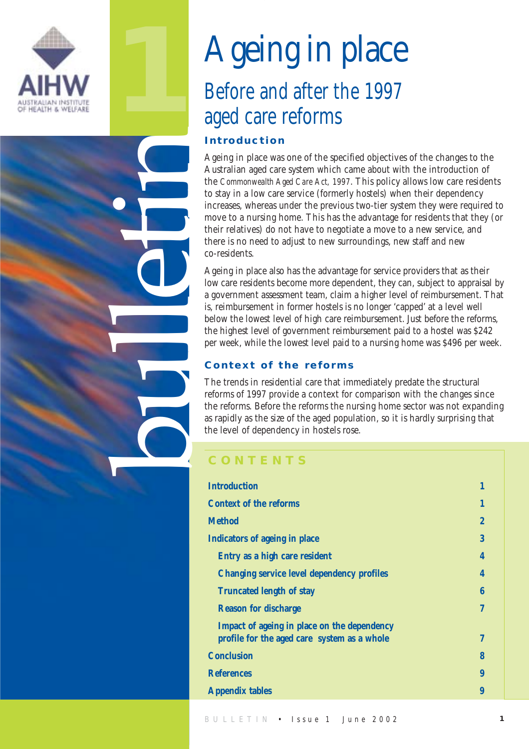

**1**

bulletin

## Ageing in place Before and after the 1997 aged care reforms **Introduction**

Ageing in place was one of the specified objectives of the changes to the Australian aged care system which came about with the introduction of the *Commonwealth Aged Care Act, 1997*. This policy allows low care residents to stay in a low care service (formerly hostels) when their dependency increases, whereas under the previous two-tier system they were required to move to a nursing home. This has the advantage for residents that they (or their relatives) do not have to negotiate a move to a new service, and there is no need to adjust to new surroundings, new staff and new co-residents.

Ageing in place also has the advantage for service providers that as their low care residents become more dependent, they can, subject to appraisal by a government assessment team, claim a higher level of reimbursement. That is, reimbursement in former hostels is no longer 'capped' at a level well below the lowest level of high care reimbursement. Just before the reforms, the highest level of government reimbursement paid to a hostel was \$242 per week, while the lowest level paid to a nursing home was \$496 per week.

#### **Context of the reforms**

The trends in residential care that immediately predate the structural reforms of 1997 provide a context for comparison with the changes since the reforms. Before the reforms the nursing home sector was not expanding as rapidly as the size of the aged population, so it is hardly surprising that the level of dependency in hostels rose.

### **CONTENTS**

| <b>Introduction</b>                         | 1              |
|---------------------------------------------|----------------|
| <b>Context of the reforms</b>               | 1              |
| <b>Method</b>                               | $\overline{2}$ |
| Indicators of ageing in place               | 3              |
| Entry as a high care resident               | 4              |
| Changing service level dependency profiles  | 4              |
| <b>Truncated length of stay</b>             | 6              |
| <b>Reason for discharge</b>                 | 7              |
| Impact of ageing in place on the dependency |                |
| profile for the aged care system as a whole | 7              |
| <b>Conclusion</b>                           | 8              |
| <b>References</b>                           | 9              |
| <b>Appendix tables</b>                      | 9              |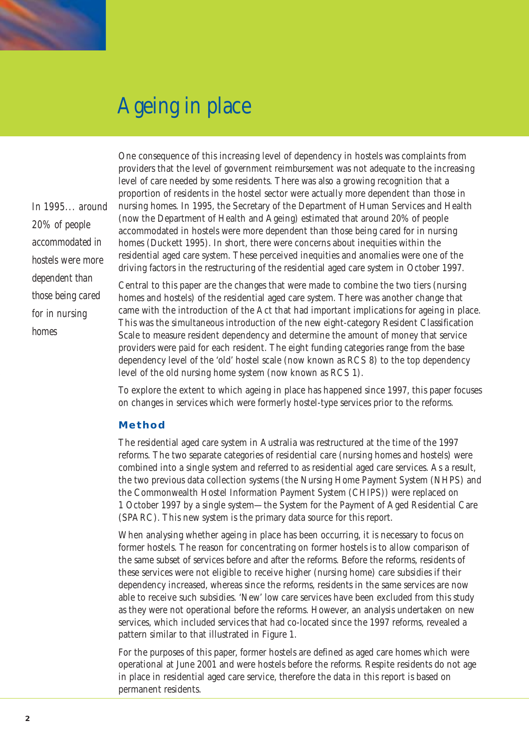

*In 1995... around 20% of people accommodated in hostels were more dependent than those being cared for in nursing homes*

One consequence of this increasing level of dependency in hostels was complaints from providers that the level of government reimbursement was not adequate to the increasing level of care needed by some residents. There was also a growing recognition that a proportion of residents in the hostel sector were actually more dependent than those in nursing homes. In 1995, the Secretary of the Department of Human Services and Health (now the Department of Health and Ageing) estimated that around 20% of people accommodated in hostels were more dependent than those being cared for in nursing homes (Duckett 1995). In short, there were concerns about inequities within the residential aged care system. These perceived inequities and anomalies were one of the driving factors in the restructuring of the residential aged care system in October 1997.

Central to this paper are the changes that were made to combine the two tiers (nursing homes and hostels) of the residential aged care system. There was another change that came with the introduction of the Act that had important implications for ageing in place. This was the simultaneous introduction of the new eight-category Resident Classification Scale to measure resident dependency and determine the amount of money that service providers were paid for each resident. The eight funding categories range from the base dependency level of the 'old' hostel scale (now known as RCS 8) to the top dependency level of the old nursing home system (now known as RCS 1).

To explore the extent to which ageing in place has happened since 1997, this paper focuses on changes in services which were formerly hostel-type services prior to the reforms.

#### **Method**

The residential aged care system in Australia was restructured at the time of the 1997 reforms. The two separate categories of residential care (nursing homes and hostels) were combined into a single system and referred to as residential aged care services. As a result, the two previous data collection systems (the Nursing Home Payment System (NHPS) and the Commonwealth Hostel Information Payment System (CHIPS)) were replaced on 1 October 1997 by a single system—the System for the Payment of Aged Residential Care (SPARC). This new system is the primary data source for this report.

When analysing whether ageing in place has been occurring, it is necessary to focus on former hostels. The reason for concentrating on former hostels is to allow comparison of the same subset of services before and after the reforms. Before the reforms, residents of these services were not eligible to receive higher (nursing home) care subsidies if their dependency increased, whereas since the reforms, residents in the same services are now able to receive such subsidies. 'New' low care services have been excluded from this study as they were not operational before the reforms. However, an analysis undertaken on new services, which included services that had co-located since the 1997 reforms, revealed a pattern similar to that illustrated in Figure 1.

For the purposes of this paper, former hostels are defined as aged care homes which were operational at June 2001 and were hostels before the reforms. Respite residents do not age in place in residential aged care service, therefore the data in this report is based on permanent residents.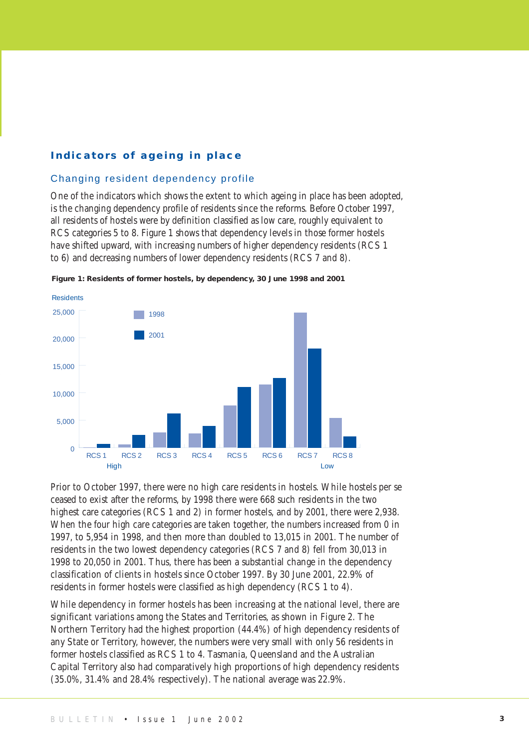#### **Indicators of ageing in place**

#### Changing resident dependency profile

One of the indicators which shows the extent to which ageing in place has been adopted, is the changing dependency profile of residents since the reforms. Before October 1997, all residents of hostels were by definition classified as low care, roughly equivalent to RCS categories 5 to 8. Figure 1 shows that dependency levels in those former hostels have shifted upward, with increasing numbers of higher dependency residents (RCS 1 to 6) and decreasing numbers of lower dependency residents (RCS 7 and 8).



**Figure 1: Residents of former hostels, by dependency, 30 June 1998 and 2001**

Prior to October 1997, there were no high care residents in hostels. While hostels per se ceased to exist after the reforms, by 1998 there were 668 such residents in the two highest care categories (RCS 1 and 2) in former hostels, and by 2001, there were 2,938. When the four high care categories are taken together, the numbers increased from 0 in 1997, to 5,954 in 1998, and then more than doubled to 13,015 in 2001. The number of residents in the two lowest dependency categories (RCS 7 and 8) fell from 30,013 in 1998 to 20,050 in 2001. Thus, there has been a substantial change in the dependency classification of clients in hostels since October 1997. By 30 June 2001, 22.9% of residents in former hostels were classified as high dependency (RCS 1 to 4).

While dependency in former hostels has been increasing at the national level, there are significant variations among the States and Territories, as shown in Figure 2. The Northern Territory had the highest proportion (44.4%) of high dependency residents of any State or Territory, however, the numbers were very small with only 56 residents in former hostels classified as RCS 1 to 4. Tasmania, Queensland and the Australian Capital Territory also had comparatively high proportions of high dependency residents (35.0%, 31.4% and 28.4% respectively). The national average was 22.9%.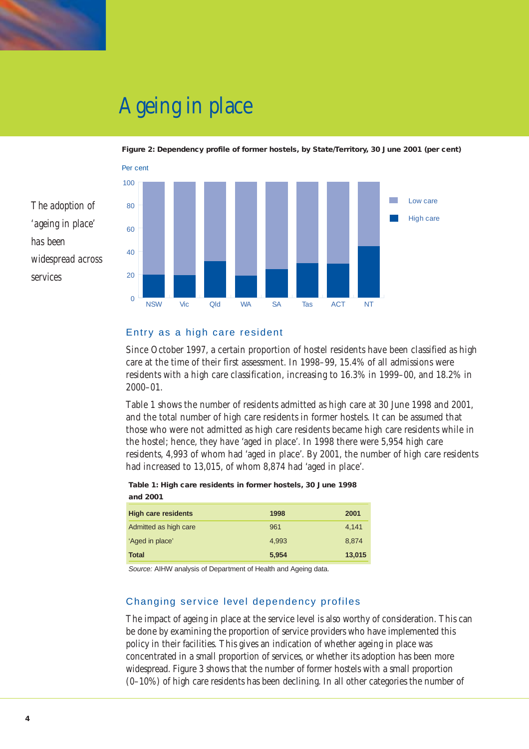

*The adoption of*

*'ageing in place'*

*widespread across*

*has been*

*services*

## Ageing in place



#### **Figure 2: Dependency profile of former hostels, by State/Territory, 30 June 2001 (per cent)**

#### Entry as a high care resident

Since October 1997, a certain proportion of hostel residents have been classified as high care at the time of their first assessment. In 1998–99, 15.4% of all admissions were residents with a high care classification, increasing to 16.3% in 1999–00, and 18.2% in 2000–01.

Table 1 shows the number of residents admitted as high care at 30 June 1998 and 2001, and the total number of high care residents in former hostels. It can be assumed that those who were not admitted as high care residents became high care residents while in the hostel; hence, they have 'aged in place'. In 1998 there were 5,954 high care residents, 4,993 of whom had 'aged in place'. By 2001, the number of high care residents had increased to 13,015, of whom 8,874 had 'aged in place'.

| <b>High care residents</b> | 1998  | 2001   |  |  |  |  |  |  |  |  |  |  |
|----------------------------|-------|--------|--|--|--|--|--|--|--|--|--|--|
| Admitted as high care      | 961   | 4,141  |  |  |  |  |  |  |  |  |  |  |
| 'Aged in place'            | 4.993 | 8.874  |  |  |  |  |  |  |  |  |  |  |
| <b>Total</b>               | 5,954 | 13,015 |  |  |  |  |  |  |  |  |  |  |

**Table 1: High care residents in former hostels, 30 June 1998 and 2001** 

Source: AIHW analysis of Department of Health and Ageing data.

#### Changing service level dependency profiles

The impact of ageing in place at the service level is also worthy of consideration. This can be done by examining the proportion of service providers who have implemented this policy in their facilities. This gives an indication of whether ageing in place was concentrated in a small proportion of services, or whether its adoption has been more widespread. Figure 3 shows that the number of former hostels with a small proportion (0–10%) of high care residents has been declining. In all other categories the number of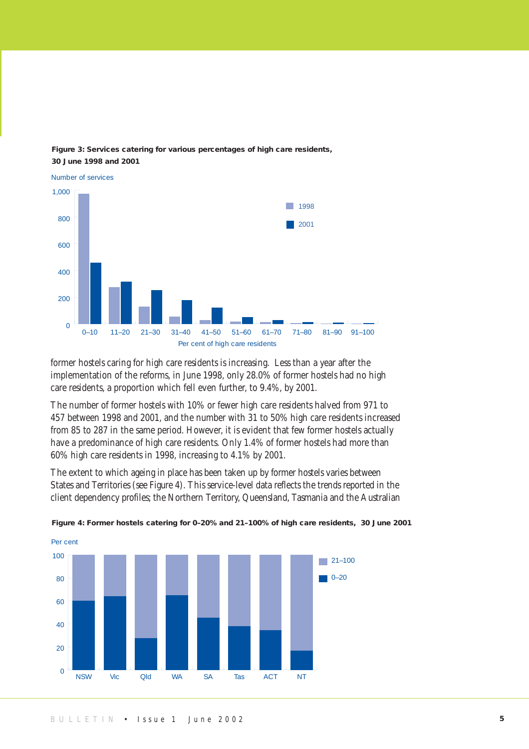

#### **Figure 3: Services catering for various percentages of high care residents, 30 June 1998 and 2001**

former hostels caring for high care residents is increasing. Less than a year after the implementation of the reforms, in June 1998, only 28.0% of former hostels had no high care residents, a proportion which fell even further, to 9.4%, by 2001.

The number of former hostels with 10% or fewer high care residents halved from 971 to 457 between 1998 and 2001, and the number with 31 to 50% high care residents increased from 85 to 287 in the same period. However, it is evident that few former hostels actually have a predominance of high care residents. Only 1.4% of former hostels had more than 60% high care residents in 1998, increasing to 4.1% by 2001.

The extent to which ageing in place has been taken up by former hostels varies between States and Territories (see Figure 4). This service-level data reflects the trends reported in the client dependency profiles; the Northern Territory, Queensland, Tasmania and the Australian



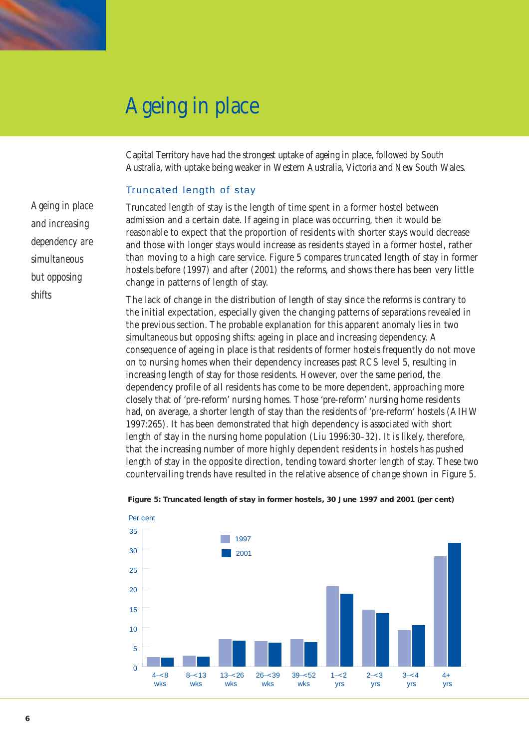## Ageing in place

Capital Territory have had the strongest uptake of ageing in place, followed by South Australia, with uptake being weaker in Western Australia, Victoria and New South Wales.

#### Truncated length of stay

*Ageing in place and increasing dependency are simultaneous but opposing shifts*

Truncated length of stay is the length of time spent in a former hostel between admission and a certain date. If ageing in place was occurring, then it would be reasonable to expect that the proportion of residents with shorter stays would decrease and those with longer stays would increase as residents stayed in a former hostel, rather than moving to a high care service. Figure 5 compares truncated length of stay in former hostels before (1997) and after (2001) the reforms, and shows there has been very little change in patterns of length of stay.

The lack of change in the distribution of length of stay since the reforms is contrary to the initial expectation, especially given the changing patterns of separations revealed in the previous section. The probable explanation for this apparent anomaly lies in two simultaneous but opposing shifts: ageing in place and increasing dependency. A consequence of ageing in place is that residents of former hostels frequently do not move on to nursing homes when their dependency increases past RCS level 5, resulting in increasing length of stay for those residents. However, over the same period, the dependency profile of all residents has come to be more dependent, approaching more closely that of 'pre-reform' nursing homes. Those 'pre-reform' nursing home residents had, on average, a shorter length of stay than the residents of 'pre-reform' hostels (AIHW 1997:265). It has been demonstrated that high dependency is associated with short length of stay in the nursing home population (Liu 1996:30–32). It is likely, therefore, that the increasing number of more highly dependent residents in hostels has pushed length of stay in the opposite direction, tending toward shorter length of stay. These two countervailing trends have resulted in the relative absence of change shown in Figure 5.



#### **Figure 5: Truncated length of stay in former hostels, 30 June 1997 and 2001 (per cent)**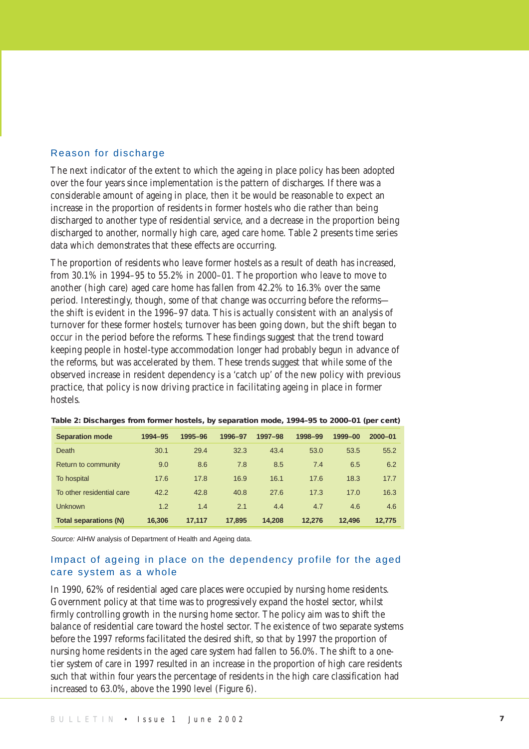#### Reason for discharge

The next indicator of the extent to which the ageing in place policy has been adopted over the four years since implementation is the pattern of discharges. If there was a considerable amount of ageing in place, then it be would be reasonable to expect an increase in the proportion of residents in former hostels who die rather than being discharged to another type of residential service, and a decrease in the proportion being discharged to another, normally high care, aged care home. Table 2 presents time series data which demonstrates that these effects are occurring.

The proportion of residents who leave former hostels as a result of death has increased, from 30.1% in 1994–95 to 55.2% in 2000–01. The proportion who leave to move to another (high care) aged care home has fallen from 42.2% to 16.3% over the same period. Interestingly, though, some of that change was occurring before the reforms the shift is evident in the 1996–97 data. This is actually consistent with an analysis of turnover for these former hostels; turnover has been going down, but the shift began to occur in the period before the reforms. These findings suggest that the trend toward keeping people in hostel-type accommodation longer had probably begun in advance of the reforms, but was accelerated by them. These trends suggest that while some of the observed increase in resident dependency is a 'catch up' of the new policy with previous practice, that policy is now driving practice in facilitating ageing in place in former hostels.

| <b>Separation mode</b>       | 1994-95 | 1995-96 | 1996-97 | 1997-98 | 1998-99 | 1999-00 | $2000 - 01$ |
|------------------------------|---------|---------|---------|---------|---------|---------|-------------|
| Death                        | 30.1    | 29.4    | 32.3    | 43.4    | 53.0    | 53.5    | 55.2        |
| Return to community          | 9.0     | 8.6     | 7.8     | 8.5     | 7.4     | 6.5     | 6.2         |
| To hospital                  | 17.6    | 17.8    | 16.9    | 16.1    | 17.6    | 18.3    | 17.7        |
| To other residential care    | 42.2    | 42.8    | 40.8    | 27.6    | 17.3    | 17.0    | 16.3        |
| <b>Unknown</b>               | 1.2     | 1.4     | 2.1     | 4.4     | 4.7     | 4.6     | 4.6         |
| <b>Total separations (N)</b> | 16,306  | 17.117  | 17.895  | 14.208  | 12.276  | 12.496  | 12.775      |

**Table 2: Discharges from former hostels, by separation mode, 1994–95 to 2000–01 (per cent)**

Source: AIHW analysis of Department of Health and Ageing data.

#### Impact of ageing in place on the dependency profile for the aged care system as a whole

In 1990, 62% of residential aged care places were occupied by nursing home residents. Government policy at that time was to progressively expand the hostel sector, whilst firmly controlling growth in the nursing home sector. The policy aim was to shift the balance of residential care toward the hostel sector. The existence of two separate systems before the 1997 reforms facilitated the desired shift, so that by 1997 the proportion of nursing home residents in the aged care system had fallen to 56.0%. The shift to a onetier system of care in 1997 resulted in an increase in the proportion of high care residents such that within four years the percentage of residents in the high care classification had increased to 63.0%, above the 1990 level (Figure 6).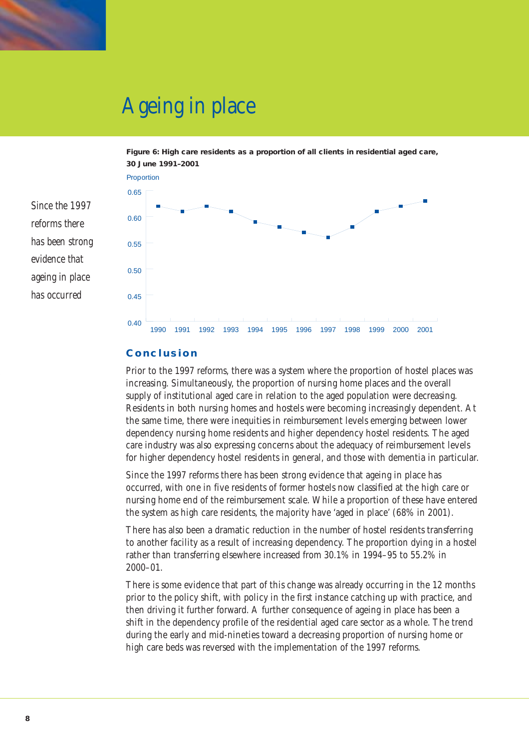

*Since the 1997*

*has been strong evidence that*

*ageing in place*

*has occurred*

*reforms there*

### Ageing in place



**Figure 6: High care residents as a proportion of all clients in residential aged care, 30 June 1991–2001**

#### **Conclusion**

Prior to the 1997 reforms, there was a system where the proportion of hostel places was increasing. Simultaneously, the proportion of nursing home places and the overall supply of institutional aged care in relation to the aged population were decreasing. Residents in both nursing homes and hostels were becoming increasingly dependent. At the same time, there were inequities in reimbursement levels emerging between lower dependency nursing home residents and higher dependency hostel residents. The aged care industry was also expressing concerns about the adequacy of reimbursement levels for higher dependency hostel residents in general, and those with dementia in particular.

Since the 1997 reforms there has been strong evidence that ageing in place has occurred, with one in five residents of former hostels now classified at the high care or nursing home end of the reimbursement scale. While a proportion of these have entered the system as high care residents, the majority have 'aged in place' (68% in 2001).

There has also been a dramatic reduction in the number of hostel residents transferring to another facility as a result of increasing dependency. The proportion dying in a hostel rather than transferring elsewhere increased from 30.1% in 1994–95 to 55.2% in 2000–01.

There is some evidence that part of this change was already occurring in the 12 months prior to the policy shift, with policy in the first instance catching up with practice, and then driving it further forward. A further consequence of ageing in place has been a shift in the dependency profile of the residential aged care sector as a whole. The trend during the early and mid-nineties toward a decreasing proportion of nursing home or high care beds was reversed with the implementation of the 1997 reforms.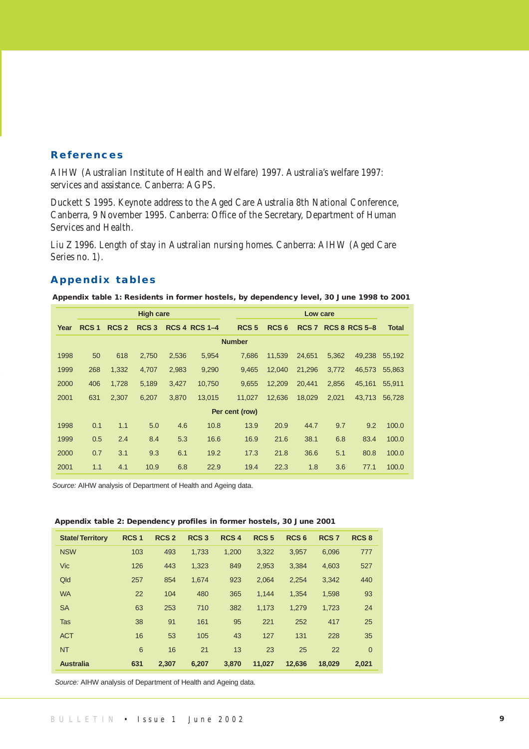#### **References**

AIHW (Australian Institute of Health and Welfare) 1997. Australia's welfare 1997: services and assistance. Canberra: AGPS.

Duckett S 1995. Keynote address to the Aged Care Australia 8th National Conference, Canberra, 9 November 1995. Canberra: Office of the Secretary, Department of Human Services and Health.

Liu Z 1996. Length of stay in Australian nursing homes. Canberra: AIHW (Aged Care Series no. 1).

#### **Appendix tables**

|  | Appendix table 1: Residents in former hostels, by dependency level, 30 June 1998 to 2001 |  |  |  |
|--|------------------------------------------------------------------------------------------|--|--|--|
|--|------------------------------------------------------------------------------------------|--|--|--|

|      |                  |                  | <b>High care</b> |       |                      |                  |                  | Low care |       |                     |              |
|------|------------------|------------------|------------------|-------|----------------------|------------------|------------------|----------|-------|---------------------|--------------|
| Year | RCS <sub>1</sub> | RCS <sub>2</sub> | RCS <sub>3</sub> |       | <b>RCS 4 RCS 1-4</b> | RCS <sub>5</sub> | RCS <sub>6</sub> |          |       | RCS 7 RCS 8 RCS 5-8 | <b>Total</b> |
|      |                  |                  |                  |       |                      | <b>Number</b>    |                  |          |       |                     |              |
| 1998 | 50               | 618              | 2,750            | 2,536 | 5,954                | 7.686            | 11.539           | 24.651   | 5,362 | 49.238              | 55.192       |
| 1999 | 268              | 1,332            | 4,707            | 2,983 | 9,290                | 9.465            | 12,040           | 21,296   | 3,772 | 46.573              | 55.863       |
| 2000 | 406              | 1,728            | 5,189            | 3,427 | 10,750               | 9,655            | 12,209           | 20,441   | 2,856 | 45,161              | 55,911       |
| 2001 | 631              | 2,307            | 6,207            | 3,870 | 13,015               | 11.027           | 12,636           | 18,029   | 2,021 | 43.713              | 56.728       |
|      |                  |                  |                  |       |                      | Per cent (row)   |                  |          |       |                     |              |
| 1998 | 0.1              | 1.1              | 5.0              | 4.6   | 10.8                 | 13.9             | 20.9             | 44.7     | 9.7   | 9.2                 | 100.0        |
| 1999 | 0.5              | 2.4              | 8.4              | 5.3   | 16.6                 | 16.9             | 21.6             | 38.1     | 6.8   | 83.4                | 100.0        |
| 2000 | 0.7              | 3.1              | 9.3              | 6.1   | 19.2                 | 17.3             | 21.8             | 36.6     | 5.1   | 80.8                | 100.0        |
| 2001 | 1.1              | 4.1              | 10.9             | 6.8   | 22.9                 | 19.4             | 22.3             | 1.8      | 3.6   | 77.1                | 100.0        |

Source: AIHW analysis of Department of Health and Ageing data.

#### **Appendix table 2: Dependency profiles in former hostels, 30 June 2001**

| <b>State/Territory</b> | RCS <sub>1</sub> | <b>RCS 2</b> | <b>RCS3</b> | RCS <sub>4</sub> | RCS <sub>5</sub> | RCS <sub>6</sub> | <b>RCS 7</b> | RCS <sub>8</sub> |
|------------------------|------------------|--------------|-------------|------------------|------------------|------------------|--------------|------------------|
| <b>NSW</b>             | 103              | 493          | 1,733       | 1,200            | 3,322            | 3,957            | 6,096        | 777              |
| <b>Vic</b>             | 126              | 443          | 1,323       | 849              | 2,953            | 3,384            | 4,603        | 527              |
| Qld                    | 257              | 854          | 1.674       | 923              | 2,064            | 2,254            | 3,342        | 440              |
| <b>WA</b>              | 22               | 104          | 480         | 365              | 1,144            | 1,354            | 1,598        | 93               |
| <b>SA</b>              | 63               | 253          | 710         | 382              | 1.173            | 1,279            | 1,723        | 24               |
| Tas                    | 38               | 91           | 161         | 95               | 221              | 252              | 417          | 25               |
| <b>ACT</b>             | 16               | 53           | 105         | 43               | 127              | 131              | 228          | 35               |
| <b>NT</b>              | 6                | 16           | 21          | 13               | 23               | 25               | 22           | $\overline{0}$   |
| <b>Australia</b>       | 631              | 2,307        | 6.207       | 3.870            | 11,027           | 12,636           | 18.029       | 2,021            |

Source: AIHW analysis of Department of Health and Ageing data.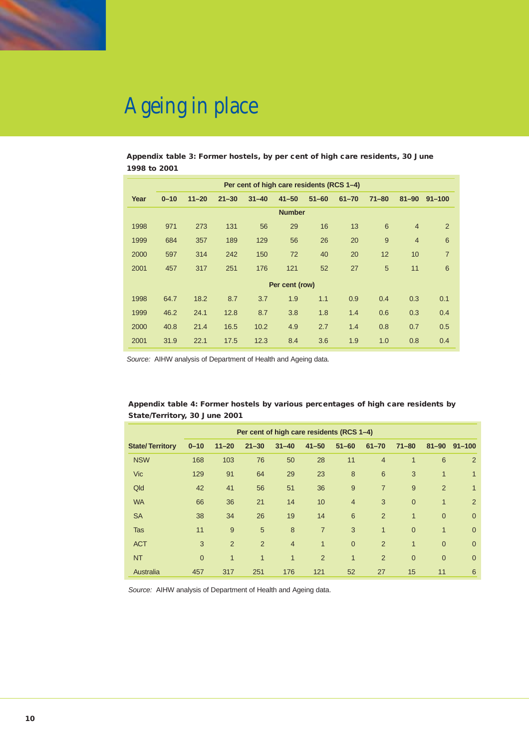

# Ageing in place

**Appendix table 3: Former hostels, by per cent of high care residents, 30 June 1998 to 2001** 

|      |          |           |           |           | Per cent of high care residents (RCS 1-4) |           |           |           |                |                |
|------|----------|-----------|-----------|-----------|-------------------------------------------|-----------|-----------|-----------|----------------|----------------|
| Year | $0 - 10$ | $11 - 20$ | $21 - 30$ | $31 - 40$ | $41 - 50$                                 | $51 - 60$ | $61 - 70$ | $71 - 80$ | $81 - 90$      | $91 - 100$     |
|      |          |           |           |           | <b>Number</b>                             |           |           |           |                |                |
| 1998 | 971      | 273       | 131       | 56        | 29                                        | 16        | 13        | 6         | $\overline{4}$ | $\overline{2}$ |
| 1999 | 684      | 357       | 189       | 129       | 56                                        | 26        | 20        | 9         | $\overline{4}$ | 6              |
| 2000 | 597      | 314       | 242       | 150       | 72                                        | 40        | 20        | 12        | 10             | $\overline{7}$ |
| 2001 | 457      | 317       | 251       | 176       | 121                                       | 52        | 27        | 5         | 11             | 6              |
|      |          |           |           |           | Per cent (row)                            |           |           |           |                |                |
| 1998 | 64.7     | 18.2      | 8.7       | 3.7       | 1.9                                       | 1.1       | 0.9       | 0.4       | 0.3            | 0.1            |
| 1999 | 46.2     | 24.1      | 12.8      | 8.7       | 3.8                                       | 1.8       | 1.4       | 0.6       | 0.3            | 0.4            |
| 2000 | 40.8     | 21.4      | 16.5      | 10.2      | 4.9                                       | 2.7       | 1.4       | 0.8       | 0.7            | 0.5            |
| 2001 | 31.9     | 22.1      | 17.5      | 12.3      | 8.4                                       | 3.6       | 1.9       | 1.0       | 0.8            | 0.4            |
|      |          |           |           |           |                                           |           |           |           |                |                |

Source: AIHW analysis of Department of Health and Ageing data.

| Appendix table 4: Former hostels by various percentages of high care residents by |  |
|-----------------------------------------------------------------------------------|--|
| State/Territory, 30 June 2001                                                     |  |

|                        | Per cent of high care residents (RCS 1-4) |                |              |                |                 |                |                 |              |                |                |  |  |  |  |  |
|------------------------|-------------------------------------------|----------------|--------------|----------------|-----------------|----------------|-----------------|--------------|----------------|----------------|--|--|--|--|--|
| <b>State/Territory</b> | $0 - 10$                                  | $11 - 20$      | $21 - 30$    | $31 - 40$      | $41 - 50$       | $51 - 60$      | $61 - 70$       | $71 - 80$    | $81 - 90$      | $91 - 100$     |  |  |  |  |  |
| <b>NSW</b>             | 168                                       | 103            | 76           | 50             | 28              | 11             | $\overline{4}$  | $\mathbf{1}$ | 6              | 2              |  |  |  |  |  |
| <b>Vic</b>             | 129                                       | 91             | 64           | 29             | 23              | 8              | $6\phantom{1}6$ | 3            | 1              | $\mathbf{1}$   |  |  |  |  |  |
| Qld                    | 42                                        | 41             | 56           | 51             | 36              | 9              | $\overline{7}$  | 9            | 2              | $\mathbf{1}$   |  |  |  |  |  |
| <b>WA</b>              | 66                                        | 36             | 21           | 14             | 10 <sup>1</sup> | $\overline{4}$ | 3               | $\mathbf{0}$ | $\mathbf{1}$   | 2              |  |  |  |  |  |
| <b>SA</b>              | 38                                        | 34             | 26           | 19             | 14              | 6              | $\overline{2}$  | $\mathbf{1}$ | $\overline{0}$ | $\overline{0}$ |  |  |  |  |  |
| Tas                    | 11                                        | 9              | 5            | 8              | $\overline{7}$  | 3              | $\mathbf{1}$    | $\Omega$     | $\mathbf{1}$   | $\overline{0}$ |  |  |  |  |  |
| <b>ACT</b>             | 3                                         | 2              | 2            | $\overline{4}$ | $\mathbf{1}$    | $\overline{0}$ | 2               | $\mathbf{1}$ | $\Omega$       | $\overline{0}$ |  |  |  |  |  |
| <b>NT</b>              | $\overline{0}$                            | $\overline{1}$ | $\mathbf{1}$ | $\mathbf{1}$   | 2               | $\mathbf{1}$   | $\overline{2}$  | $\mathbf{0}$ | $\overline{0}$ | $\overline{0}$ |  |  |  |  |  |
| Australia              | 457                                       | 317            | 251          | 176            | 121             | 52             | 27              | 15           | 11             | 6              |  |  |  |  |  |

Source: AIHW analysis of Department of Health and Ageing data.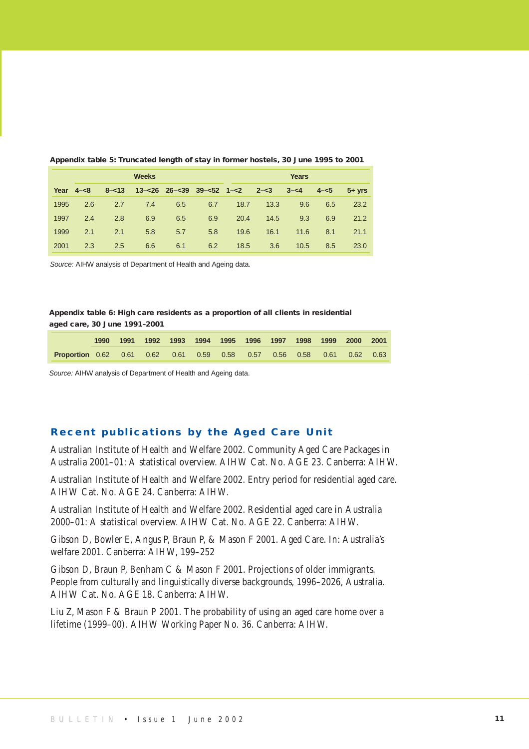|      |              |          | <b>Weeks</b> |     |                                       |      | <b>Years</b> |         |         |           |
|------|--------------|----------|--------------|-----|---------------------------------------|------|--------------|---------|---------|-----------|
|      | Year $4 - 8$ | $8 - 13$ |              |     | $13 - 26$ $26 - 39$ $39 - 52$ $1 - 2$ |      | $2 - 3$      | $3 - 4$ | $4 - 5$ | $5 + vrs$ |
| 1995 | 2.6          | 2.7      | 7.4          | 6.5 | 6.7                                   | 18.7 | 13.3         | 9.6     | 6.5     | 23.2      |
| 1997 | 2.4          | 2.8      | 6.9          | 6.5 | 6.9                                   | 20.4 | 14.5         | 9.3     | 6.9     | 21.2      |
| 1999 | 2.1          | 2.1      | 5.8          | 5.7 | 5.8                                   | 19.6 | 16.1         | 11.6    | 8.1     | 21.1      |
| 2001 | 2.3          | 2.5      | 6.6          | 6.1 | 6.2                                   | 18.5 | 3.6          | 10.5    | 8.5     | 23.0      |

#### **Appendix table 5: Truncated length of stay in former hostels, 30 June 1995 to 2001**

Source: AIHW analysis of Department of Health and Ageing data.

#### **Appendix table 6: High care residents as a proportion of all clients in residential aged care, 30 June 1991–2001**

|                                                                               |  | 1990 1991 1992 1993 1994 1995 1996 1997 1998 1999 2000 2001 |  |  |  |  |  |
|-------------------------------------------------------------------------------|--|-------------------------------------------------------------|--|--|--|--|--|
| <b>Proportion</b> 0.62 0.61 0.62 0.61 0.59 0.58 0.57 0.56 0.58 0.61 0.62 0.63 |  |                                                             |  |  |  |  |  |

Source: AIHW analysis of Department of Health and Ageing data.

#### **Recent publications by the Aged Care Unit**

Australian Institute of Health and Welfare 2002. Community Aged Care Packages in Australia 2001–01: A statistical overview. AIHW Cat. No. AGE 23. Canberra: AIHW.

Australian Institute of Health and Welfare 2002. Entry period for residential aged care. AIHW Cat. No. AGE 24. Canberra: AIHW.

Australian Institute of Health and Welfare 2002. Residential aged care in Australia 2000–01: A statistical overview. AIHW Cat. No. AGE 22. Canberra: AIHW.

Gibson D, Bowler E, Angus P, Braun P, & Mason F 2001. Aged Care. In: Australia's welfare 2001. Canberra: AIHW, 199–252

Gibson D, Braun P, Benham C & Mason F 2001. Projections of older immigrants. People from culturally and linguistically diverse backgrounds, 1996–2026, Australia. AIHW Cat. No. AGE 18. Canberra: AIHW.

Liu Z, Mason F & Braun P 2001. The probability of using an aged care home over a lifetime (1999–00). AIHW Working Paper No. 36. Canberra: AIHW.